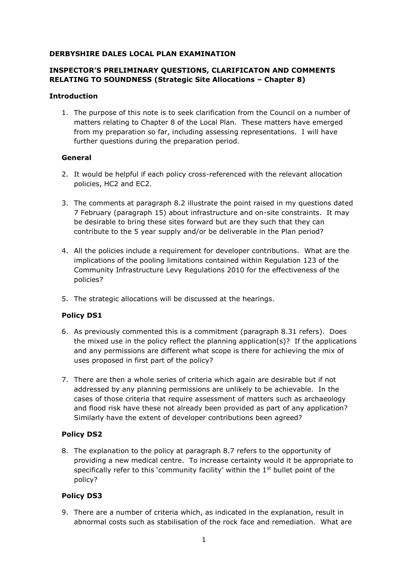### **DERBYSHIRE DALES LOCAL PLAN EXAMINATION**

# **INSPECTOR'S PRELIMINARY QUESTIONS, CLARIFICATON AND COMMENTS RELATING TO SOUNDNESS (Strategic Site Allocations – Chapter 8)**

### **Introduction**

1. The purpose of this note is to seek clarification from the Council on a number of matters relating to Chapter 8 of the Local Plan. These matters have emerged from my preparation so far, including assessing representations. I will have further questions during the preparation period.

### **General**

- 2. It would be helpful if each policy cross-referenced with the relevant allocation policies, HC2 and EC2.
- 3. The comments at paragraph 8.2 illustrate the point raised in my questions dated 7 February (paragraph 15) about infrastructure and on-site constraints. It may be desirable to bring these sites forward but are they such that they can contribute to the 5 year supply and/or be deliverable in the Plan period?
- 4. All the policies include a requirement for developer contributions. What are the implications of the pooling limitations contained within Regulation 123 of the Community Infrastructure Levy Regulations 2010 for the effectiveness of the policies?
- 5. The strategic allocations will be discussed at the hearings.

# **Policy DS1**

- 6. As previously commented this is a commitment (paragraph 8.31 refers). Does the mixed use in the policy reflect the planning application(s)? If the applications and any permissions are different what scope is there for achieving the mix of uses proposed in first part of the policy?
- 7. There are then a whole series of criteria which again are desirable but if not addressed by any planning permissions are unlikely to be achievable. In the cases of those criteria that require assessment of matters such as archaeology and flood risk have these not already been provided as part of any application? Similarly have the extent of developer contributions been agreed?

# **Policy DS2**

8. The explanation to the policy at paragraph 8.7 refers to the opportunity of providing a new medical centre. To increase certainty would it be appropriate to specifically refer to this 'community facility' within the  $1<sup>st</sup>$  bullet point of the policy?

# **Policy DS3**

9. There are a number of criteria which, as indicated in the explanation, result in abnormal costs such as stabilisation of the rock face and remediation. What are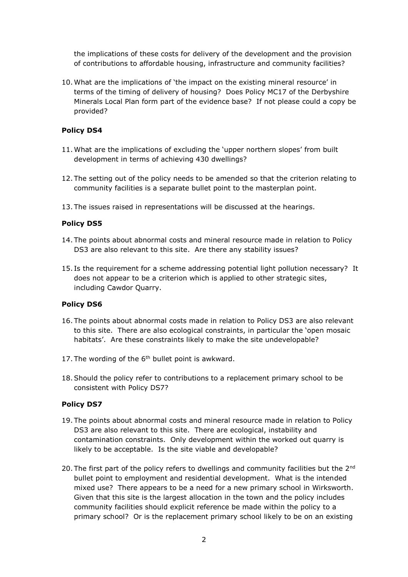the implications of these costs for delivery of the development and the provision of contributions to affordable housing, infrastructure and community facilities?

10. What are the implications of 'the impact on the existing mineral resource' in terms of the timing of delivery of housing? Does Policy MC17 of the Derbyshire Minerals Local Plan form part of the evidence base? If not please could a copy be provided?

### **Policy DS4**

- 11. What are the implications of excluding the 'upper northern slopes' from built development in terms of achieving 430 dwellings?
- 12. The setting out of the policy needs to be amended so that the criterion relating to community facilities is a separate bullet point to the masterplan point.
- 13. The issues raised in representations will be discussed at the hearings.

### **Policy DS5**

- 14. The points about abnormal costs and mineral resource made in relation to Policy DS3 are also relevant to this site. Are there any stability issues?
- 15. Is the requirement for a scheme addressing potential light pollution necessary? It does not appear to be a criterion which is applied to other strategic sites, including Cawdor Quarry.

#### **Policy DS6**

- 16. The points about abnormal costs made in relation to Policy DS3 are also relevant to this site. There are also ecological constraints, in particular the 'open mosaic habitats'. Are these constraints likely to make the site undevelopable?
- 17. The wording of the  $6<sup>th</sup>$  bullet point is awkward.
- 18.Should the policy refer to contributions to a replacement primary school to be consistent with Policy DS7?

#### **Policy DS7**

- 19. The points about abnormal costs and mineral resource made in relation to Policy DS3 are also relevant to this site. There are ecological, instability and contamination constraints. Only development within the worked out quarry is likely to be acceptable. Is the site viable and developable?
- 20. The first part of the policy refers to dwellings and community facilities but the 2<sup>nd</sup> bullet point to employment and residential development. What is the intended mixed use? There appears to be a need for a new primary school in Wirksworth. Given that this site is the largest allocation in the town and the policy includes community facilities should explicit reference be made within the policy to a primary school? Or is the replacement primary school likely to be on an existing